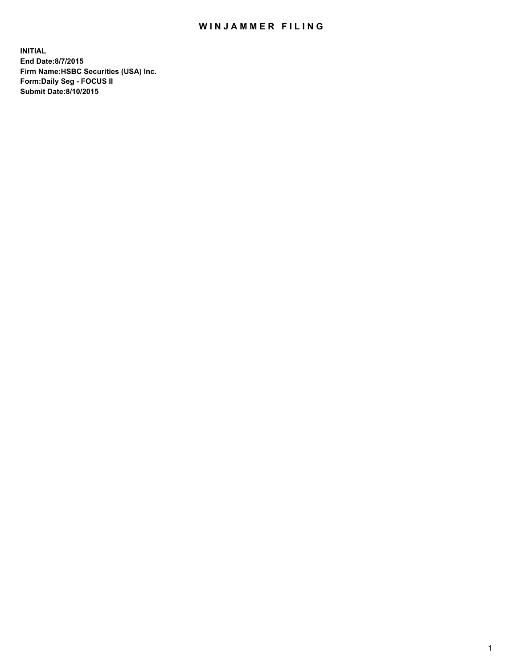## WIN JAMMER FILING

**INITIAL End Date:8/7/2015 Firm Name:HSBC Securities (USA) Inc. Form:Daily Seg - FOCUS II Submit Date:8/10/2015**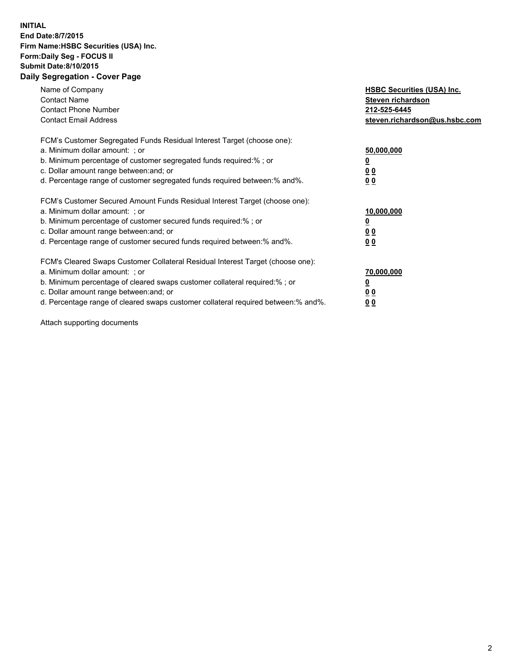## **INITIAL End Date:8/7/2015 Firm Name:HSBC Securities (USA) Inc. Form:Daily Seg - FOCUS II Submit Date:8/10/2015 Daily Segregation - Cover Page**

| Name of Company<br><b>Contact Name</b><br><b>Contact Phone Number</b><br><b>Contact Email Address</b>                                                                                                                                                                                                                          | <b>HSBC Securities (USA) Inc.</b><br>Steven richardson<br>212-525-6445<br>steven.richardson@us.hsbc.com |
|--------------------------------------------------------------------------------------------------------------------------------------------------------------------------------------------------------------------------------------------------------------------------------------------------------------------------------|---------------------------------------------------------------------------------------------------------|
| FCM's Customer Segregated Funds Residual Interest Target (choose one):<br>a. Minimum dollar amount: ; or<br>b. Minimum percentage of customer segregated funds required:%; or<br>c. Dollar amount range between: and; or<br>d. Percentage range of customer segregated funds required between:% and%.                          | 50,000,000<br>00<br>00                                                                                  |
| FCM's Customer Secured Amount Funds Residual Interest Target (choose one):<br>a. Minimum dollar amount: ; or<br>b. Minimum percentage of customer secured funds required:%; or<br>c. Dollar amount range between: and; or<br>d. Percentage range of customer secured funds required between:% and%.                            | 10,000,000<br>0 <sub>0</sub><br>00                                                                      |
| FCM's Cleared Swaps Customer Collateral Residual Interest Target (choose one):<br>a. Minimum dollar amount: ; or<br>b. Minimum percentage of cleared swaps customer collateral required:% ; or<br>c. Dollar amount range between: and; or<br>d. Percentage range of cleared swaps customer collateral required between:% and%. | 70,000,000<br><u>00</u><br><u>00</u>                                                                    |

Attach supporting documents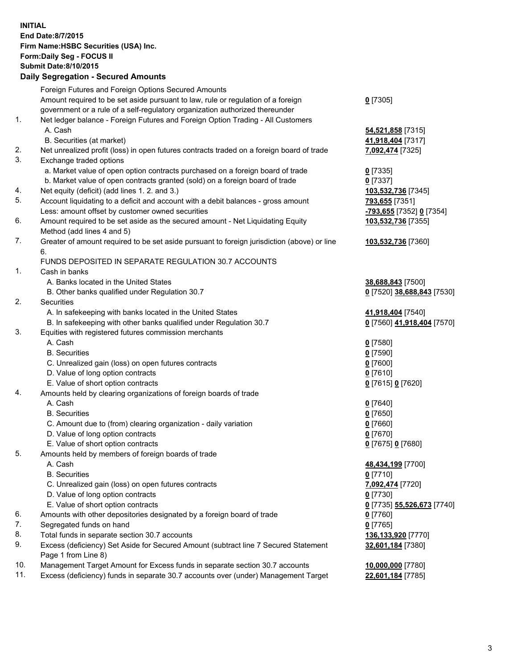**INITIAL End Date:8/7/2015 Firm Name:HSBC Securities (USA) Inc. Form:Daily Seg - FOCUS II Submit Date:8/10/2015 Daily Segregation - Secured Amounts**

Foreign Futures and Foreign Options Secured Amounts Amount required to be set aside pursuant to law, rule or regulation of a foreign government or a rule of a self-regulatory organization authorized thereunder **0** [7305] 1. Net ledger balance - Foreign Futures and Foreign Option Trading - All Customers A. Cash **54,521,858** [7315] B. Securities (at market) **41,918,404** [7317] 2. Net unrealized profit (loss) in open futures contracts traded on a foreign board of trade **7,092,474** [7325] 3. Exchange traded options a. Market value of open option contracts purchased on a foreign board of trade **0** [7335] b. Market value of open contracts granted (sold) on a foreign board of trade **0** [7337] 4. Net equity (deficit) (add lines 1. 2. and 3.) **103,532,736** [7345] 5. Account liquidating to a deficit and account with a debit balances - gross amount **793,655** [7351] Less: amount offset by customer owned securities **-793,655** [7352] **0** [7354] 6. Amount required to be set aside as the secured amount - Net Liquidating Equity Method (add lines 4 and 5) **103,532,736** [7355] 7. Greater of amount required to be set aside pursuant to foreign jurisdiction (above) or line 6. **103,532,736** [7360] FUNDS DEPOSITED IN SEPARATE REGULATION 30.7 ACCOUNTS 1. Cash in banks A. Banks located in the United States **38,688,843** [7500] B. Other banks qualified under Regulation 30.7 **0** [7520] **38,688,843** [7530] 2. Securities A. In safekeeping with banks located in the United States **41,918,404** [7540] B. In safekeeping with other banks qualified under Regulation 30.7 **0** [7560] **41,918,404** [7570] 3. Equities with registered futures commission merchants A. Cash **0** [7580] B. Securities **0** [7590] C. Unrealized gain (loss) on open futures contracts **0** [7600] D. Value of long option contracts **0** [7610] E. Value of short option contracts **0** [7615] **0** [7620] 4. Amounts held by clearing organizations of foreign boards of trade A. Cash **0** [7640] B. Securities **0** [7650] C. Amount due to (from) clearing organization - daily variation **0** [7660] D. Value of long option contracts **0** [7670] E. Value of short option contracts **0** [7675] **0** [7680] 5. Amounts held by members of foreign boards of trade A. Cash **48,434,199** [7700] B. Securities **0** [7710] C. Unrealized gain (loss) on open futures contracts **7,092,474** [7720] D. Value of long option contracts **0** [7730] E. Value of short option contracts **0** [7735] **55,526,673** [7740] 6. Amounts with other depositories designated by a foreign board of trade **0** [7760] 7. Segregated funds on hand **0** [7765] 8. Total funds in separate section 30.7 accounts **136,133,920** [7770] 9. Excess (deficiency) Set Aside for Secured Amount (subtract line 7 Secured Statement Page 1 from Line 8) **32,601,184** [7380] 10. Management Target Amount for Excess funds in separate section 30.7 accounts **10,000,000** [7780] 11. Excess (deficiency) funds in separate 30.7 accounts over (under) Management Target **22,601,184** [7785]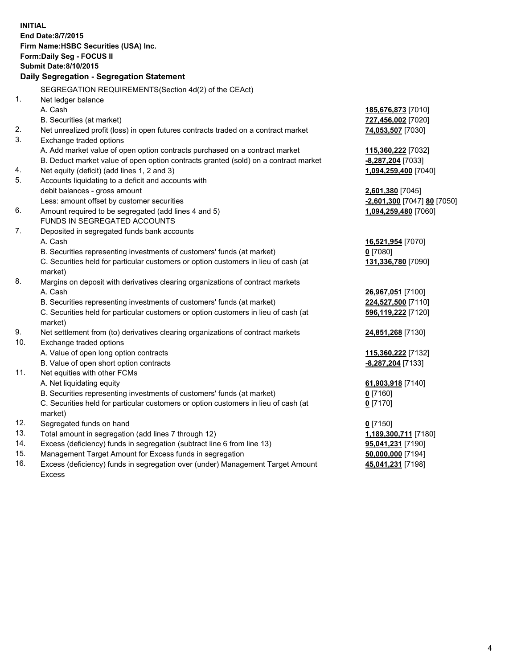| <b>INITIAL</b>                            |                                                                                                |                             |  |  |
|-------------------------------------------|------------------------------------------------------------------------------------------------|-----------------------------|--|--|
| <b>End Date:8/7/2015</b>                  |                                                                                                |                             |  |  |
| Firm Name: HSBC Securities (USA) Inc.     |                                                                                                |                             |  |  |
| Form: Daily Seg - FOCUS II                |                                                                                                |                             |  |  |
| <b>Submit Date:8/10/2015</b>              |                                                                                                |                             |  |  |
| Daily Segregation - Segregation Statement |                                                                                                |                             |  |  |
|                                           | SEGREGATION REQUIREMENTS(Section 4d(2) of the CEAct)                                           |                             |  |  |
| 1.                                        | Net ledger balance                                                                             |                             |  |  |
|                                           | A. Cash                                                                                        | 185,676,873 [7010]          |  |  |
|                                           | B. Securities (at market)                                                                      | 727,456,002 [7020]          |  |  |
| 2.                                        | Net unrealized profit (loss) in open futures contracts traded on a contract market             | 74,053,507 [7030]           |  |  |
| 3.                                        | Exchange traded options                                                                        |                             |  |  |
|                                           | A. Add market value of open option contracts purchased on a contract market                    | 115,360,222 [7032]          |  |  |
|                                           | B. Deduct market value of open option contracts granted (sold) on a contract market            | -8,287,204 [7033]           |  |  |
| 4.                                        | Net equity (deficit) (add lines 1, 2 and 3)                                                    | 1,094,259,400 [7040]        |  |  |
| 5.                                        | Accounts liquidating to a deficit and accounts with                                            |                             |  |  |
|                                           | debit balances - gross amount                                                                  | 2,601,380 [7045]            |  |  |
|                                           | Less: amount offset by customer securities                                                     | -2,601,300 [7047] 80 [7050] |  |  |
| 6.                                        | Amount required to be segregated (add lines 4 and 5)                                           | 1,094,259,480 [7060]        |  |  |
|                                           | FUNDS IN SEGREGATED ACCOUNTS                                                                   |                             |  |  |
| 7.                                        | Deposited in segregated funds bank accounts                                                    |                             |  |  |
|                                           | A. Cash                                                                                        | 16,521,954 [7070]           |  |  |
|                                           | B. Securities representing investments of customers' funds (at market)                         | $0$ [7080]                  |  |  |
|                                           | C. Securities held for particular customers or option customers in lieu of cash (at            | 131,336,780 [7090]          |  |  |
|                                           | market)                                                                                        |                             |  |  |
| 8.                                        | Margins on deposit with derivatives clearing organizations of contract markets                 |                             |  |  |
|                                           | A. Cash                                                                                        | 26,967,051 [7100]           |  |  |
|                                           | B. Securities representing investments of customers' funds (at market)                         | 224,527,500 [7110]          |  |  |
|                                           | C. Securities held for particular customers or option customers in lieu of cash (at<br>market) | 596,119,222 [7120]          |  |  |
| 9.                                        | Net settlement from (to) derivatives clearing organizations of contract markets                | 24,851,268 [7130]           |  |  |
| 10.                                       | Exchange traded options                                                                        |                             |  |  |
|                                           | A. Value of open long option contracts                                                         | 115,360,222 [7132]          |  |  |
|                                           | B. Value of open short option contracts                                                        | -8,287,204 [7133]           |  |  |
| 11.                                       | Net equities with other FCMs                                                                   |                             |  |  |
|                                           | A. Net liquidating equity                                                                      | 61,903,918 [7140]           |  |  |
|                                           | B. Securities representing investments of customers' funds (at market)                         | $0$ [7160]                  |  |  |
|                                           | C. Securities held for particular customers or option customers in lieu of cash (at            | $0$ [7170]                  |  |  |
|                                           | market)                                                                                        |                             |  |  |
| 12.                                       | Segregated funds on hand                                                                       | $0$ [7150]                  |  |  |
| 13.                                       | Total amount in segregation (add lines 7 through 12)                                           | 1,189,300,711 [7180]        |  |  |
| 14.                                       | Excess (deficiency) funds in segregation (subtract line 6 from line 13)                        | 95,041,231 [7190]           |  |  |
| 15.                                       | Management Target Amount for Excess funds in segregation                                       | 50,000,000 [7194]           |  |  |
| 16.                                       | Excess (deficiency) funds in segregation over (under) Management Target Amount                 | 45,041,231 [7198]           |  |  |

16. Excess (deficiency) funds in segregation over (under) Management Target Amount Excess